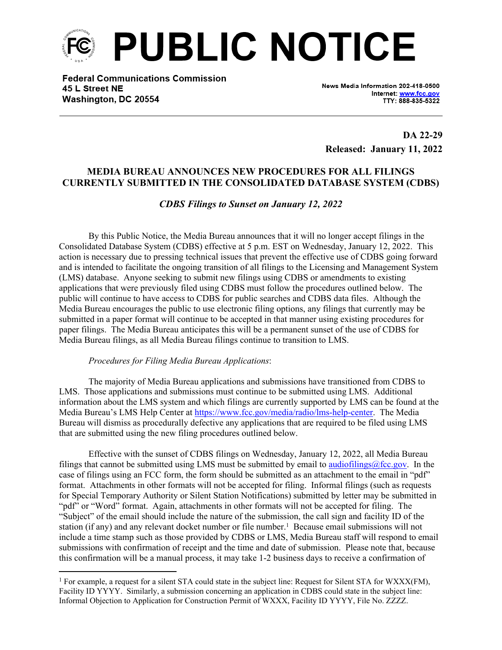

**Federal Communications Commission** 45 L Street NE Washington, DC 20554

News Media Information 202-418-0500 Internet: www.fcc.gov TTY: 888-835-5322

**DA 22-29 Released: January 11, 2022**

# **MEDIA BUREAU ANNOUNCES NEW PROCEDURES FOR ALL FILINGS CURRENTLY SUBMITTED IN THE CONSOLIDATED DATABASE SYSTEM (CDBS)**

### *CDBS Filings to Sunset on January 12, 2022*

By this Public Notice, the Media Bureau announces that it will no longer accept filings in the Consolidated Database System (CDBS) effective at 5 p.m. EST on Wednesday, January 12, 2022. This action is necessary due to pressing technical issues that prevent the effective use of CDBS going forward and is intended to facilitate the ongoing transition of all filings to the Licensing and Management System (LMS) database. Anyone seeking to submit new filings using CDBS or amendments to existing applications that were previously filed using CDBS must follow the procedures outlined below. The public will continue to have access to CDBS for public searches and CDBS data files. Although the Media Bureau encourages the public to use electronic filing options, any filings that currently may be submitted in a paper format will continue to be accepted in that manner using existing procedures for paper filings. The Media Bureau anticipates this will be a permanent sunset of the use of CDBS for Media Bureau filings, as all Media Bureau filings continue to transition to LMS.

#### *Procedures for Filing Media Bureau Applications*:

The majority of Media Bureau applications and submissions have transitioned from CDBS to LMS. Those applications and submissions must continue to be submitted using LMS. Additional information about the LMS system and which filings are currently supported by LMS can be found at the Media Bureau's LMS Help Center at <https://www.fcc.gov/media/radio/lms-help-center>. The Media Bureau will dismiss as procedurally defective any applications that are required to be filed using LMS that are submitted using the new filing procedures outlined below.

Effective with the sunset of CDBS filings on Wednesday, January 12, 2022, all Media Bureau filings that cannot be submitted using LMS must be submitted by email to [audiofilings@fcc.gov](mailto:audiofilings@fcc.gov). In the case of filings using an FCC form, the form should be submitted as an attachment to the email in "pdf" format. Attachments in other formats will not be accepted for filing. Informal filings (such as requests for Special Temporary Authority or Silent Station Notifications) submitted by letter may be submitted in "pdf" or "Word" format. Again, attachments in other formats will not be accepted for filing. The "Subject" of the email should include the nature of the submission, the call sign and facility ID of the station (if any) and any relevant docket number or file number.<sup>1</sup> Because email submissions will not include a time stamp such as those provided by CDBS or LMS, Media Bureau staff will respond to email submissions with confirmation of receipt and the time and date of submission. Please note that, because this confirmation will be a manual process, it may take 1-2 business days to receive a confirmation of

<sup>&</sup>lt;sup>1</sup> For example, a request for a silent STA could state in the subject line: Request for Silent STA for WXXX(FM), Facility ID YYYY. Similarly, a submission concerning an application in CDBS could state in the subject line: Informal Objection to Application for Construction Permit of WXXX, Facility ID YYYY, File No. ZZZZ.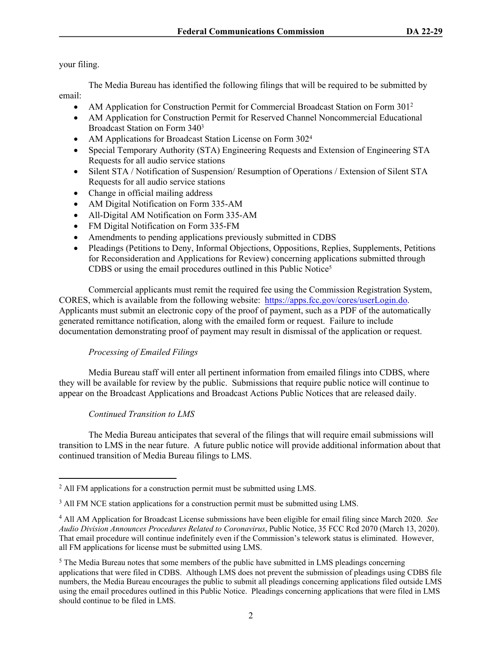your filing.

The Media Bureau has identified the following filings that will be required to be submitted by email:

- AM Application for Construction Permit for Commercial Broadcast Station on Form 301<sup>2</sup>
- AM Application for Construction Permit for Reserved Channel Noncommercial Educational Broadcast Station on Form 340<sup>3</sup>
- AM Applications for Broadcast Station License on Form 302<sup>4</sup>
- Special Temporary Authority (STA) Engineering Requests and Extension of Engineering STA Requests for all audio service stations
- Silent STA / Notification of Suspension/ Resumption of Operations / Extension of Silent STA Requests for all audio service stations
- Change in official mailing address
- AM Digital Notification on Form 335-AM
- All-Digital AM Notification on Form 335-AM
- FM Digital Notification on Form 335-FM
- Amendments to pending applications previously submitted in CDBS
- Pleadings (Petitions to Deny, Informal Objections, Oppositions, Replies, Supplements, Petitions for Reconsideration and Applications for Review) concerning applications submitted through CDBS or using the email procedures outlined in this Public Notice<sup>5</sup>

Commercial applicants must remit the required fee using the Commission Registration System, CORES, which is available from the following website: [https://apps.fcc.gov/cores/userLogin.do.](https://apps.fcc.gov/cores/userLogin.do) Applicants must submit an electronic copy of the proof of payment, such as a PDF of the automatically generated remittance notification, along with the emailed form or request. Failure to include documentation demonstrating proof of payment may result in dismissal of the application or request.

## *Processing of Emailed Filings*

Media Bureau staff will enter all pertinent information from emailed filings into CDBS, where they will be available for review by the public. Submissions that require public notice will continue to appear on the Broadcast Applications and Broadcast Actions Public Notices that are released daily.

## *Continued Transition to LMS*

The Media Bureau anticipates that several of the filings that will require email submissions will transition to LMS in the near future. A future public notice will provide additional information about that continued transition of Media Bureau filings to LMS.

<sup>&</sup>lt;sup>2</sup> All FM applications for a construction permit must be submitted using LMS.

<sup>&</sup>lt;sup>3</sup> All FM NCE station applications for a construction permit must be submitted using LMS.

<sup>4</sup> All AM Application for Broadcast License submissions have been eligible for email filing since March 2020. *See Audio Division Announces Procedures Related to Coronavirus*, Public Notice, 35 FCC Rcd 2070 (March 13, 2020). That email procedure will continue indefinitely even if the Commission's telework status is eliminated. However, all FM applications for license must be submitted using LMS.

 $<sup>5</sup>$  The Media Bureau notes that some members of the public have submitted in LMS pleadings concerning</sup> applications that were filed in CDBS. Although LMS does not prevent the submission of pleadings using CDBS file numbers, the Media Bureau encourages the public to submit all pleadings concerning applications filed outside LMS using the email procedures outlined in this Public Notice. Pleadings concerning applications that were filed in LMS should continue to be filed in LMS.